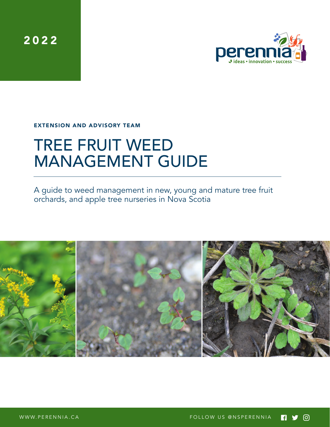2022



EXTENSION AND ADVISORY TEAM

# TREE FRUIT WEED MANAGEMENT GUIDE

A guide to weed management in new, young and mature tree fruit orchards, and apple tree nurseries in Nova Scotia

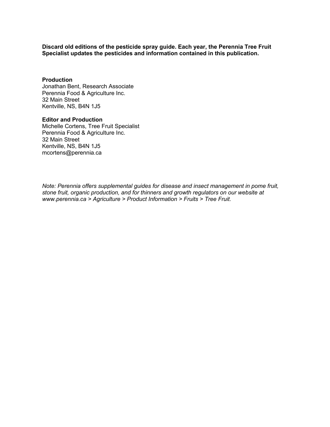**Discard old editions of the pesticide spray guide. Each year, the Perennia Tree Fruit Specialist updates the pesticides and information contained in this publication.**

#### **Production**

Jonathan Bent, Research Associate Perennia Food & Agriculture Inc. 32 Main Street Kentville, NS, B4N 1J5

#### **Editor and Production**

Michelle Cortens, Tree Fruit Specialist Perennia Food & Agriculture Inc. 32 Main Street Kentville, NS, B4N 1J5 mcortens@perennia.ca

*Note: Perennia offers supplemental guides for disease and insect management in pome fruit, stone fruit, organic production, and for thinners and growth regulators on our website at www.perennia.ca > Agriculture > Product Information > Fruits > Tree Fruit.*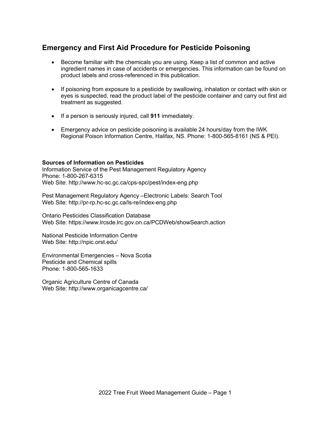## **Emergency and First Aid Procedure for Pesticide Poisoning**

- Become familiar with the chemicals you are using. Keep a list of common and active ingredient names in case of accidents or emergencies. This information can be found on product labels and cross-referenced in this publication.
- If poisoning from exposure to a pesticide by swallowing, inhalation or contact with skin or eyes is suspected, read the product label of the pesticide container and carry out first aid treatment as suggested.
- If a person is seriously injured, call **911** immediately.
- Emergency advice on pesticide poisoning is available 24 hours/day from the IWK Regional Poison Information Centre, Halifax, NS. Phone: 1-800-565-8161 (NS & PEI).

#### **Sources of Information on Pesticides**

Information Service of the Pest Management Regulatory Agency Phone: 1-800-267-6315 Web Site: http://www.hc-sc.gc.ca/cps-spc/pest/index-eng.php

Pest Management Regulatory Agency –Electronic Labels: Search Tool Web Site: http://pr-rp.hc-sc.gc.ca/ls-re/index-eng.php

Ontario Pesticides Classification Database Web Site: https://www.lrcsde.lrc.gov.on.ca/PCDWeb/showSearch.action

National Pesticide Information Centre Web Site: http://npic.orst.edu/

Environmental Emergencies – Nova Scotia Pesticide and Chemical spills Phone: 1-800-565-1633

Organic Agriculture Centre of Canada Web Site: http://www.organicagcentre.ca/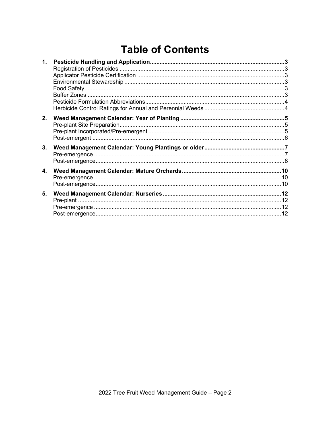## **Table of Contents**

| 1. |  |
|----|--|
|    |  |
|    |  |
|    |  |
|    |  |
|    |  |
|    |  |
|    |  |
| 2. |  |
|    |  |
|    |  |
|    |  |
| 3. |  |
|    |  |
|    |  |
| 4. |  |
|    |  |
|    |  |
|    |  |
| 5. |  |
|    |  |
|    |  |
|    |  |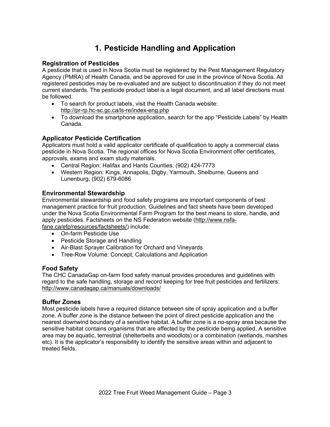## **1. Pesticide Handling and Application**

#### **Registration of Pesticides**

A pesticide that is used in Nova Scotia must be registered by the Pest Management Regulatory Agency (PMRA) of Health Canada, and be approved for use in the province of Nova Scotia. All registered pesticides may be re-evaluated and are subject to discontinuation if they do not meet current standards. The pesticide product label is a legal document, and all label directions must be followed.

- To search for product labels, visit the Health Canada website: http://pr-rp.hc-sc.gc.ca/ls-re/index-eng.php
- To download the smartphone application, search for the app "Pesticide Labels" by Health Canada.

## **Applicator Pesticide Certification**

Applicators must hold a valid applicator certificate of qualification to apply a commercial class pesticide in Nova Scotia. The regional offices for Nova Scotia Environment offer certificates, approvals, exams and exam study materials.

- Central Region: Halifax and Hants Counties, (902) 424-7773
- Western Region: Kings, Annapolis, Digby, Yarmouth, Shelburne, Queens and Lunenburg, (902) 679-6086

### **Environmental Stewardship**

Environmental stewardship and food safety programs are important components of best management practice for fruit production. Guidelines and fact sheets have been developed under the Nova Scotia Environmental Farm Program for the best means to store, handle, and apply pesticides. Factsheets on the NS Federation website (http://www.nsfafane.ca/efp/resources/factsheets/) include:

- On-farm Pesticide Use
- Pesticide Storage and Handling
- Air-Blast Sprayer Calibration for Orchard and Vineyards
- Tree-Row Volume: Concept, Calculations and Application

#### **Food Safety**

The CHC CanadaGap on-farm food safety manual provides procedures and guidelines with regard to the safe handling, storage and record keeping for tree fruit pesticides and fertilizers: http://www.canadagap.ca/manuals/downloads/

#### **Buffer Zones**

Most pesticide labels have a required distance between site of spray application and a buffer zone. A buffer zone is the distance between the point of direct pesticide application and the nearest downwind boundary of a sensitive habitat. A buffer zone is a no-spray area because the sensitive habitat contains organisms that are affected by the pesticide being applied. A sensitive area may be aquatic, terrestrial (shelterbelts and woodlots) or a combination (wetlands, marshes etc). It is the applicator's responsibility to identify the sensitive areas within and adjacent to treated fields.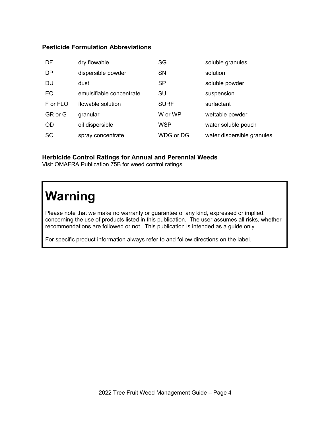## **Pesticide Formulation Abbreviations**

| DF        | dry flowable             | SG          | soluble granules           |
|-----------|--------------------------|-------------|----------------------------|
| <b>DP</b> | dispersible powder       | <b>SN</b>   | solution                   |
| <b>DU</b> | dust                     | <b>SP</b>   | soluble powder             |
| <b>EC</b> | emulsifiable concentrate | SU          | suspension                 |
| F or FLO  | flowable solution        | <b>SURF</b> | surfactant                 |
| GR or G   | granular                 | W or WP     | wettable powder            |
| <b>OD</b> | oil dispersible          | <b>WSP</b>  | water soluble pouch        |
| <b>SC</b> | spray concentrate        | WDG or DG   | water dispersible granules |

## **Herbicide Control Ratings for Annual and Perennial Weeds**

Visit OMAFRA Publication 75B for weed control ratings.

## **Warning**

Please note that we make no warranty or guarantee of any kind, expressed or implied, concerning the use of products listed in this publication. The user assumes all risks, whether recommendations are followed or not. This publication is intended as a guide only.

For specific product information always refer to and follow directions on the label.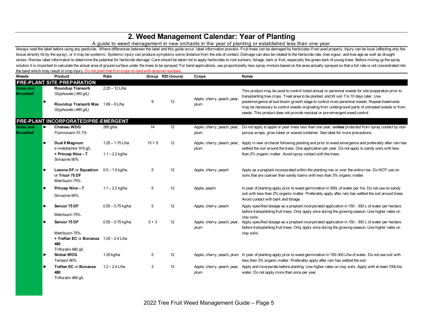## **2. Weed Management Calendar: Year of Planting**

#### A guide to weed management in new orchards in the year of planting or established less than one year.

Always read the label before using any pesticide. Where differences between the label and this guide occur, label information prevails. Fruit trees can be damaged by herbicides if not used properly. Injury can be local (af tissue directly hit by the spray), or it may be systemic. Systemic injury can produce symptoms some distance from the site of contact. Damage can also be related to the herbicide rate, tree vigour, and tree age as well as stress. Review label information to determine the potential for herbicide damage. Care should be taken not to apply herbicides to root suckers, foliage, bark or fruit, especially the green bark of young trees. Before mixin solution it is important to calculate the actual area of ground surface under the trees to be sprayed. For band applications, use proportionally less spray mixture based on the area actually sprayed so that a full rate is the band which may result in crop injury. Do not plant tree fruit crops on land with atrazine residues.

| Weeds                                | <b>Product</b>                                                                          | Rate                                  |          | Group REI (hours) | Crops                      | <b>Notes</b>                                                                                                                                                                                                                                                                                        |
|--------------------------------------|-----------------------------------------------------------------------------------------|---------------------------------------|----------|-------------------|----------------------------|-----------------------------------------------------------------------------------------------------------------------------------------------------------------------------------------------------------------------------------------------------------------------------------------------------|
|                                      | <b>PRE-PLANT SITE PREPARATION</b>                                                       |                                       |          |                   |                            |                                                                                                                                                                                                                                                                                                     |
| <b>Grass and</b><br><b>Broadleaf</b> | <b>Roundup Transorb</b><br>Glyphosate (360 g/L)                                         | $2.25 - 12$ L/ha                      |          |                   | Apple, cherry, peach, pear | This product may be used to control listed annual or perennial weeds for site preparation prior to<br>transplanting tree crops. Treat area to be planted, and till soil 7 to 10 days later. Use                                                                                                     |
|                                      | Roundup Transorb Max 1.69 - 9 L/ha<br>Glyphosate (480 q/L)                              |                                       | 9        | 12                | plum                       | postemergence at bud bloom growth stage to control most perennial weeds. Repeat treatments<br>may be necessary to control weeds originating from underground parts of untreated weeds or from<br>seeds. This product does not provide residual or pre-emergent weed control.                        |
|                                      | PRE-PLANT INCORPORATED/PRE-EMERGENT                                                     |                                       |          |                   |                            |                                                                                                                                                                                                                                                                                                     |
| <b>Grass and</b><br><b>Broadleaf</b> | Chateau WDG<br>Flumioxazin 51.1%                                                        | 280 g/ha                              | 14       | 12                | plum                       | Apple, cherry, peach, pear, Do not apply to apple or pear trees less than one year, unless protected from spray contact by non-<br>porous wraps, grow tubes or waxed container. See label for more precautions.                                                                                     |
|                                      | Dual II Magnum<br>s-metolachlor 915 q/L<br>+ Princep Nine-T                             | 1.25 - 1.75 L/ha<br>$1.1 - 2.2$ kg/ha | $15 + 5$ | 12                | plum                       | Apple, cherry, peach, pear, Apply in new orchards following planting and prior to weed emergence and preferably after rain has<br>settled the soil around the trees. One application per year. Do not apply to sandy soils with less<br>than 2% organic matter. Avoid spray contact with the trees. |
|                                      | Simazine 90%                                                                            |                                       |          |                   |                            |                                                                                                                                                                                                                                                                                                     |
|                                      | Lexone DF or Squadron<br>or Tricor 75 DF<br>Metribuzin 75%                              | $0.5 - 1.0$ kg/ha                     | 5        | 12                | Apple, cherry, peach       | Apply as a preplant incorporated within the planting row or over the entire row. Do NOT use on<br>soils that are coarser than sandy loams with less than 3% organic matter.                                                                                                                         |
|                                      | Princep Nine-T<br>Simazine 90%                                                          | $1.1 - 2.2$ kg/ha                     | 5        | 12                | Apple, peach               | In year of planting apply prior to weed germination in 300L of water per Ha. Do not use on sandy<br>soil with less than 2% organic matter. Preferably apply after rain has settled the soil around trees.<br>Avoid contact with bark and foliage.                                                   |
|                                      | Sencor 75 DF<br>Metribuzin 75%                                                          | $0.55 - 0.75$ kg/ha                   | 5        | 12                | Apple, cherry, peach       | Apply specified dosage as a preplant incorporated application in 150 - 300 L of water per hectare<br>before transplanting fruit trees. Only apply once during the growing season. Use higher rates on                                                                                               |
|                                      | Sencor 75 DF                                                                            | $0.55 - 0.75$ kg/ha                   | $5 + 3$  | 12                | plum                       | clav soils.<br>Apple, cherry, peach, pear, Apply specified dosage as a preplant incorporated application in 150 - 300 L of water per hectare<br>before transplanting fruit trees. Only apply once during the growing season. Use higher rates on                                                    |
|                                      | Metribuzin 75%<br>+ Treflan EC or Bonanza 1.25 - 2.4 L/ha<br>480<br>Trifluralin 480 g/L |                                       |          |                   |                            | clay soils.                                                                                                                                                                                                                                                                                         |
|                                      | <b>Sinbar WDG</b><br>Terbacil 80%                                                       | 1.25 kg/ha                            | 5        | 12                |                            | Apple, cherry, peach, plum In year of planting apply prior to weed germination in 150-300 L/ha of water. Do not use soil with<br>less than 3% organic matter. Preferably apply after rain has settled the soil.                                                                                     |
|                                      | Treflan EC or Bonanza<br>480<br>Trifluralin 480 q/L                                     | $1.2 - 2.4$ L/ha                      | 3        | 12                | plum                       | Apple, cherry, peach, pear, Apply and incorporate before planting. Use higher rates on clay soils. Apply with at least 100L/ha<br>water. Do not apply more than once per year                                                                                                                       |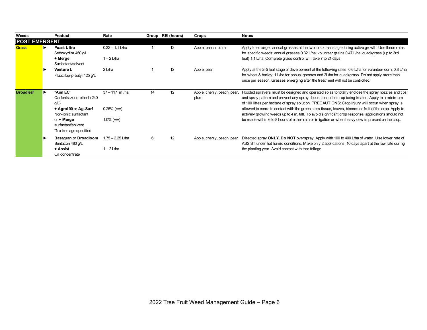| Weeds                | <b>Product</b>                                                                                                                                                 | Rate                                                       |    | Group REI (hours) | Crops                               | <b>Notes</b>                                                                                                                                                                                                                                                                                                                                                                                                                                                                                                                                                                                                                  |
|----------------------|----------------------------------------------------------------------------------------------------------------------------------------------------------------|------------------------------------------------------------|----|-------------------|-------------------------------------|-------------------------------------------------------------------------------------------------------------------------------------------------------------------------------------------------------------------------------------------------------------------------------------------------------------------------------------------------------------------------------------------------------------------------------------------------------------------------------------------------------------------------------------------------------------------------------------------------------------------------------|
| <b>POST EMERGENT</b> |                                                                                                                                                                |                                                            |    |                   |                                     |                                                                                                                                                                                                                                                                                                                                                                                                                                                                                                                                                                                                                               |
| <b>Grass</b>         | Poast Ultra<br>Sethoxydim 450 g/L                                                                                                                              | $0.32 - 1.1$ L/ha                                          |    | 12                | Apple, peach, plum                  | Apply to emerged annual grasses at the two to six leaf stage during active growth. Use these rates<br>for specific weeds: annual grasses 0.32 L/ha; volunteer grains 0.47 L/ha; quackgrass (up to 3rd                                                                                                                                                                                                                                                                                                                                                                                                                         |
|                      | + Merge<br>Surfactant/solvent                                                                                                                                  | $1 - 2$ L/ha                                               |    |                   |                                     | leaf) 1.1 L/ha. Complete grass control will take 7 to 21 days.                                                                                                                                                                                                                                                                                                                                                                                                                                                                                                                                                                |
|                      | <b>Venture L</b><br>Fluozifop-p-butyl 125 g/L                                                                                                                  | $2$ L/ha                                                   |    | 12                | Apple, pear                         | Apply at the 2-5 leaf stage of development at the following rates: 0.6 L/ha for volunteer corn; 0.8 L/ha<br>for wheat & barley; 1 L/ha for annual grasses and 2L/ha for quackgrass. Do not apply more than<br>once per season. Grasses emerging after the treatment will not be controlled.                                                                                                                                                                                                                                                                                                                                   |
| <b>Broadleaf</b>     | *Aim EC<br>Carfentrazone-ethrel (240<br>$g/L$ )<br>+ Agral 90 or Ag-Surf<br>Non-ionic surfactant<br>or + Merge<br>surfactant/solvent<br>*No tree age specified | $37 - 117$ ml/ha<br>$0.25%$ ( $v/v$ )<br>$1.0\%$ ( $v/v$ ) | 14 | 12                | Apple, cherry, peach, pear,<br>plum | Hooded sprayers must be designed and operated so as to totally enclose the spray nozzles and tips<br>and spray pattern and prevent any spray deposition to the crop being treated. Apply in a minimum<br>of 100 litres per hectare of spray solution. PRECAUTIONS: Crop injury will occur when spray is<br>allowed to come in contact with the green stem tissue, leaves, blooms or fruit of the crop. Apply to<br>actively growing weeds up to 4 in. tall. To avoid significant crop response, applications should not<br>be made within 6 to 8 hours of either rain or irrigation or when heavy dew is present on the crop. |
|                      | <b>Basagran or Broadloom</b><br>Bentazon 480 g/L<br>+ Assist<br>Oil concentrate                                                                                | 1.75 - 2.25 L/ha<br>$1 - 2$ L/ha                           | 6  | 12                | Apple, cherry, peach, pear          | Directed spray ONLY. Do NOT overspray. Apply with 100 to 400 L/ha of water. Use lower rate of<br>ASSIST under hot humid conditions. Make only 2 applications, 10 days apart at the low rate during<br>the planting year. Avoid contact with tree foliage.                                                                                                                                                                                                                                                                                                                                                                     |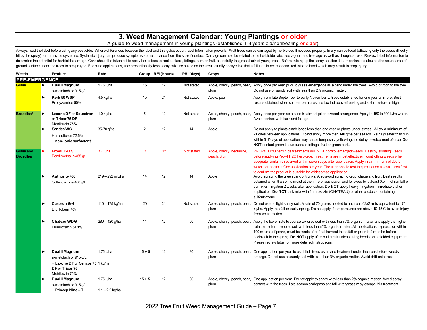## **3. Weed Management Calendar: Young Plantings or older**

#### A guide to weed management in young plantings (established 1-3 years old/nonbearing or older)

Always read the label before using any pesticide. Where differences between the label and this guide occur, label information prevails. Fruit trees can be damaged by herbicides if not used properly. Injury can be local (af hit by the spray), or it may be systemic. Systemic injury can produce symptoms some distance from the site of contact. Damage can also be related to the herbicide rate, tree vigour, and tree age as well as drought stress. determine the potential for herbicide damage. Care should be taken not to apply herbicides to root suckers, foliage, bark or fruit, especially the green bark of young trees. Before mixing up the spray solution it is import ground surface under the trees to be sprayed. For band applications, use proportionally less spray mixture based on the area actually sprayed so that a full rate is not concentrated into the band which may result in crop i

|                                      |   | Product                                                                                                          | Rate                           |          | Group REI (hours) | PHI (days) | Crops                                    | <b>Notes</b>                                                                                                                                                                                                                                                                                                                                                                                                                                                                                     |
|--------------------------------------|---|------------------------------------------------------------------------------------------------------------------|--------------------------------|----------|-------------------|------------|------------------------------------------|--------------------------------------------------------------------------------------------------------------------------------------------------------------------------------------------------------------------------------------------------------------------------------------------------------------------------------------------------------------------------------------------------------------------------------------------------------------------------------------------------|
| <b>PRE-EMERGENCE</b>                 |   |                                                                                                                  |                                |          |                   |            |                                          |                                                                                                                                                                                                                                                                                                                                                                                                                                                                                                  |
| <b>Grass</b>                         | ▶ | Dual II Magnum<br>s-metolachlor 915 g/L                                                                          | 1.75 L/ha                      | 15       | 12                | Not stated | plum                                     | Apple, cherry, peach, pear, Apply once per year prior to grass emergence as a band under the trees. Avoid drift on to the tree.<br>Do not use on sandy soil with less than 2% organic matter.                                                                                                                                                                                                                                                                                                    |
|                                      |   | Kerb 50 WSP<br>Propyzamide 50%                                                                                   | 4.5 kg/ha                      | 15       | 24                | Not stated | Apple, pear                              | Apply from late September to early November to trees established for one year or more. Best<br>results obtained when soil temperatures are low but above freezing and soil moisture is high.                                                                                                                                                                                                                                                                                                     |
| <b>Broadleaf</b>                     |   | Lexone DF or Squadron<br>or Tricor 75 DF<br>Metribuzin 75%                                                       | $1.0$ kg/ha                    | 5        | 12                | Not stated | Apple, cherry, peach, pear,<br>plum      | Apply once per year as a band treatment prior to weed emergence. Apply in 150 to 300 L/ha water.<br>Avoid contact with bark and foliage.                                                                                                                                                                                                                                                                                                                                                         |
|                                      |   | Sandea WG<br>Halosulfuron 72.6%<br>+ non-ionic surfactant                                                        | 35-70 g/ha                     | 2        | 12                | 14         | Apple                                    | Do not apply to plants established less than one year or plants under stress. Allow a minimum of<br>21 days between applications. Do not apply more than 140 g/ha per season. Rains greater than 1 in.<br>within 5-7 days of application may cause temporary yellowing and delay development of crop. Do<br>NOT contact green tissue such as foliage, fruit or green bark.                                                                                                                       |
| <b>Grass and</b><br><b>Broadleaf</b> |   | Prowl H <sub>2</sub> O <sub>S</sub><br>Pendimethalin 455 g/L                                                     | $3.7$ L/ha                     | 3        | 12                | Not stated | Apple, cherry, nectarine,<br>peach, plum | PROWL H2O herbicide treatments will NOT control emerged weeds. Destroy existing weeds<br>before applying Prowl H2O herbicide. Treatments are most effective in controlling weeds when<br>adequate rainfall is received within seven days after application. Apply in a minimum of 200 L<br>water per hectare. One application per year. The user should test the product on a small area first<br>to confirm the product is suitable for widespread application.                                 |
|                                      |   | Authority 480<br>Sulfentrazone 480 g/L                                                                           | 219 - 292 mL/ha                | 14       | 12                | 14         | Apple                                    | Avoid spraying the green bark of trunks. Also avoid spraying crop foliage and fruit. Best results<br>obtained when the soil is moist at the time of application and followed by at least 0.5 in. of rainfall or<br>sprinkler irrigation 2 weeks after application. Do NOT apply heavy irrigation immediately after<br>application. Do NOT tank mix with flumioxazin (CHATEAU) or other products containing<br>sulfentrazone.                                                                     |
|                                      |   | Casoron G-4<br>Dichlobenil 4%                                                                                    | 110 - 175 kg/ha                | 20       | 24                | Not stated | plum                                     | Apple, cherry, peach, pear, Do not use on light sandy soil. A rate of 70 grams applied to an area of 2x2 m is equivalent to 175<br>kg/ha. Apply late fall or early spring. Do not apply if temperatures are above 10-15 C to avoid injury<br>from volatilization.                                                                                                                                                                                                                                |
|                                      |   | <b>Chateau WDG</b><br>Flumioxazin 51.1%                                                                          | $280 - 420$ g/ha               | 14       | 12                | 60         | plum                                     | Apple, cherry, peach, pear, Apply the lower rate to coarse textured soil with less than 5% organic matter and apply the higher<br>rate to medium textured soil with less than 5% organic matter. All applications to pears, or within<br>100 metres of pears, must be made after final harvest in the fall or prior to 2 months before<br>budbreak in the spring. Do NOT apply after bud break unless using hooded or shielded equipment.<br>Please review label for more detailed instructions. |
|                                      |   | Dual II Magnum<br>s-metolachlor 915 g/L<br>+ Lexone DF or Sencor 75 1 kg/ha<br>DF or Tricor 75<br>Metribuzin 75% | 1.75 L/ha                      | $15 + 5$ | 12                | 30         | plum                                     | Apple, cherry, peach, pear, One application per year to establish trees as a band treatment under the trees before weeds<br>emerge. Do not use on sandy soil with less than 3% organic matter. Avoid drift onto trees.                                                                                                                                                                                                                                                                           |
|                                      |   | Dual II Magnum<br>s-metolachlor 915 g/L<br>+ Princep Nine-T                                                      | 1.75 L/ha<br>$1.1 - 2.2$ kg/ha | $15 + 5$ | 12                | 30         | plum                                     | Apple, cherry, peach, pear, One application per year. Do not apply to sandy with less than 2% organic matter. Avoid spray<br>contact with the trees. Late season crabgrass and fall witchgrass may escape this treatment.                                                                                                                                                                                                                                                                        |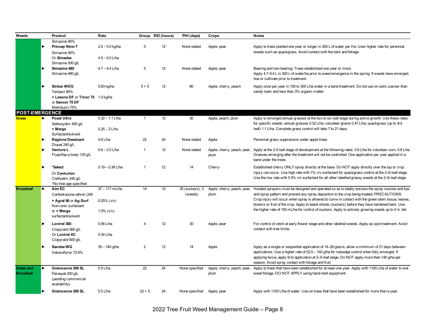| Simazine 90%<br>12<br><b>Princep Nine-T</b><br>$2.5 - 5.0$ kg/ha<br>5<br>Apply to trees planted one year or longer in 300 L of water per Ha. User higher rate for perennial<br>None stated<br>Apple, pear<br>weeds such as quackgrass. Avoid contact with the bark and foliage.<br>Simazine 90%<br>$4.5 - 9.0$ L/ha<br>Or Simadex<br>Simazine 500 g/L<br>Simazine 480<br>$4.7 - 9.4$ L/ha<br>5<br>12<br>Bearing and non-bearing: Trees established one year or more.<br>None stated<br>Apple, pear<br>Simazine 480 q/L<br>Apply 4.7-9.4 L in 300 L of water/ha prior to weed emergence in the spring. If weeds have emerged,<br>hoe or cultivate prior to treatment.<br><b>Sinbar WDG</b><br>12<br>$0.63$ kg/ha<br>$5 + 5$<br>80<br>Apply once per year in 150 to 300 L/ha water in a band treatment. Do not use on soils coarser than<br>Apple, cherry, peach<br>sandy loam and less than 3% organic matter.<br>Terbacil 80%<br>+ Lexone DF or Tricor 75 1.0 kg/ha<br>or Sencor 75 DF<br>Metribuzin 75%<br><b>POST-EMERGENCE</b><br>12<br>Poast Ultra<br>$0.32 - 1.1$ L/ha<br>$\mathbf{1}$<br>30<br>Apple, peach, plum<br>Apply to emerged annual grasses at the two to six leaf stage during active growth. Use these rates<br>▶<br>for specific weeds: annual grasses 0.32 L/ha; volunteer grains 0.47 L/ha; quackgrass (up to 3rd<br>Sethoxydim 450 g/L<br>leaf) 1.1 L/ha. Complete grass control will take 7 to 21 days.<br>$0.25 - 2$ L/ha<br>+ Merge<br>Surfactant/solvent<br>22<br>4.6 L/ha<br>24<br><b>Reglone Dessicant</b><br>None stated<br>Apple<br>Perennial grass suppression under apple trees.<br>Diguat 240 g/L<br>12<br>Venture L<br>$0.6 - 2.0$ L/ha<br>$\mathbf{1}$<br>Apple, cherry, peach, pear, Apply at the 2-5 leaf stage of development at the following rates: 0.6 L/ha for volunteer corn; 0.8 L/ha<br>None stated<br>Fluazifop-p-butyl 125 g/L<br>Grasses emerging after the treatment will not be controlled. One application per year applied in a<br>plum<br>band under the trees.<br>*Select<br>$0.19 - 0.38$ L/ha<br>$\overline{1}$<br>12<br>14<br>Cherry<br>Established cherry ONLY spray directly at the base. Do NOT apply directly over the top or crop<br>injury can occur. Use high rate with 1% v/v surfactant for quackgrass control at the 2-6-leaf stage.<br>Or Centurion<br>Use the low rate with 0.5% v/v surfactant for all other labelled grassy weeds at the 2-6-leaf stage.<br>Clethodim 240 g/L<br>*No tree age specified<br>14<br>12<br>$\blacktriangleright$<br>Aim EC<br>37 - 117 mL/ha<br>30 (suckers), 3<br><b>Broadleaf</b><br>Apple, cherry, peach, pear, Hooded sprayers must be designed and operated so as to totally enclose the spray nozzles and tips<br>and spray pattern and prevent any spray deposition to the crop being treated. PRECAUTIONS:<br>(weeds)<br>plum<br>Carfentrazone-ethrel (240<br>Crop injury will occur when spray is allowed to come in contact with the green stem tissue, leaves,<br>+ Agral 90 or Ag-Surf<br>$0.25%$ ( $v/v$ )<br>blooms or fruit of the crop. Apply to basal shoots (suckers) before they have hardened bark. Use<br>Non-ionic surfactant<br>the higher rate of 150 mL/ha for control of suckers. Apply to actively growing weeds up to 4 in. tall.<br>$1.0\%$ ( $v/v$ )<br>or + Merge<br>surfactant/solvent<br>0.56 L/ha<br>12<br>30<br>Lontrel 360<br>4<br>Apple, pear<br>For control of vetch at early flower stage and other labelled weeds. Apply as spot treatment. Avoid<br>contact with tree limbs.<br>Clopyralid 360 g/L<br>0.34 L/ha<br>Or Lontrel XC<br>Clopyralid 600 g/L<br>$\mathbf{2}$<br>12<br>Sandea WG<br>14<br>Apply as a single or sequential application of 14-28 g/acre, allow a minimum of 21 days between<br>$35 - 140$ g/ha<br>Apple | Weeds | Product | Rate | Group REI (hours) | PHI (days) | Crops | <b>Notes</b> |
|---------------------------------------------------------------------------------------------------------------------------------------------------------------------------------------------------------------------------------------------------------------------------------------------------------------------------------------------------------------------------------------------------------------------------------------------------------------------------------------------------------------------------------------------------------------------------------------------------------------------------------------------------------------------------------------------------------------------------------------------------------------------------------------------------------------------------------------------------------------------------------------------------------------------------------------------------------------------------------------------------------------------------------------------------------------------------------------------------------------------------------------------------------------------------------------------------------------------------------------------------------------------------------------------------------------------------------------------------------------------------------------------------------------------------------------------------------------------------------------------------------------------------------------------------------------------------------------------------------------------------------------------------------------------------------------------------------------------------------------------------------------------------------------------------------------------------------------------------------------------------------------------------------------------------------------------------------------------------------------------------------------------------------------------------------------------------------------------------------------------------------------------------------------------------------------------------------------------------------------------------------------------------------------------------------------------------------------------------------------------------------------------------------------------------------------------------------------------------------------------------------------------------------------------------------------------------------------------------------------------------------------------------------------------------------------------------------------------------------------------------------------------------------------------------------------------------------------------------------------------------------------------------------------------------------------------------------------------------------------------------------------------------------------------------------------------------------------------------------------------------------------------------------------------------------------------------------------------------------------------------------------------------------------------------------------------------------------------------------------------------------------------------------------------------------------------------------------------------------------------------------------------------------------------------------------------------------------------------------------------------------------------------------------------------------------------------------------------------------------------------------------------------|-------|---------|------|-------------------|------------|-------|--------------|
|                                                                                                                                                                                                                                                                                                                                                                                                                                                                                                                                                                                                                                                                                                                                                                                                                                                                                                                                                                                                                                                                                                                                                                                                                                                                                                                                                                                                                                                                                                                                                                                                                                                                                                                                                                                                                                                                                                                                                                                                                                                                                                                                                                                                                                                                                                                                                                                                                                                                                                                                                                                                                                                                                                                                                                                                                                                                                                                                                                                                                                                                                                                                                                                                                                                                                                                                                                                                                                                                                                                                                                                                                                                                                                                                                                           |       |         |      |                   |            |       |              |
|                                                                                                                                                                                                                                                                                                                                                                                                                                                                                                                                                                                                                                                                                                                                                                                                                                                                                                                                                                                                                                                                                                                                                                                                                                                                                                                                                                                                                                                                                                                                                                                                                                                                                                                                                                                                                                                                                                                                                                                                                                                                                                                                                                                                                                                                                                                                                                                                                                                                                                                                                                                                                                                                                                                                                                                                                                                                                                                                                                                                                                                                                                                                                                                                                                                                                                                                                                                                                                                                                                                                                                                                                                                                                                                                                                           |       |         |      |                   |            |       |              |
|                                                                                                                                                                                                                                                                                                                                                                                                                                                                                                                                                                                                                                                                                                                                                                                                                                                                                                                                                                                                                                                                                                                                                                                                                                                                                                                                                                                                                                                                                                                                                                                                                                                                                                                                                                                                                                                                                                                                                                                                                                                                                                                                                                                                                                                                                                                                                                                                                                                                                                                                                                                                                                                                                                                                                                                                                                                                                                                                                                                                                                                                                                                                                                                                                                                                                                                                                                                                                                                                                                                                                                                                                                                                                                                                                                           |       |         |      |                   |            |       |              |
|                                                                                                                                                                                                                                                                                                                                                                                                                                                                                                                                                                                                                                                                                                                                                                                                                                                                                                                                                                                                                                                                                                                                                                                                                                                                                                                                                                                                                                                                                                                                                                                                                                                                                                                                                                                                                                                                                                                                                                                                                                                                                                                                                                                                                                                                                                                                                                                                                                                                                                                                                                                                                                                                                                                                                                                                                                                                                                                                                                                                                                                                                                                                                                                                                                                                                                                                                                                                                                                                                                                                                                                                                                                                                                                                                                           |       |         |      |                   |            |       |              |
|                                                                                                                                                                                                                                                                                                                                                                                                                                                                                                                                                                                                                                                                                                                                                                                                                                                                                                                                                                                                                                                                                                                                                                                                                                                                                                                                                                                                                                                                                                                                                                                                                                                                                                                                                                                                                                                                                                                                                                                                                                                                                                                                                                                                                                                                                                                                                                                                                                                                                                                                                                                                                                                                                                                                                                                                                                                                                                                                                                                                                                                                                                                                                                                                                                                                                                                                                                                                                                                                                                                                                                                                                                                                                                                                                                           |       |         |      |                   |            |       |              |
|                                                                                                                                                                                                                                                                                                                                                                                                                                                                                                                                                                                                                                                                                                                                                                                                                                                                                                                                                                                                                                                                                                                                                                                                                                                                                                                                                                                                                                                                                                                                                                                                                                                                                                                                                                                                                                                                                                                                                                                                                                                                                                                                                                                                                                                                                                                                                                                                                                                                                                                                                                                                                                                                                                                                                                                                                                                                                                                                                                                                                                                                                                                                                                                                                                                                                                                                                                                                                                                                                                                                                                                                                                                                                                                                                                           |       |         |      |                   |            |       |              |
|                                                                                                                                                                                                                                                                                                                                                                                                                                                                                                                                                                                                                                                                                                                                                                                                                                                                                                                                                                                                                                                                                                                                                                                                                                                                                                                                                                                                                                                                                                                                                                                                                                                                                                                                                                                                                                                                                                                                                                                                                                                                                                                                                                                                                                                                                                                                                                                                                                                                                                                                                                                                                                                                                                                                                                                                                                                                                                                                                                                                                                                                                                                                                                                                                                                                                                                                                                                                                                                                                                                                                                                                                                                                                                                                                                           |       |         |      |                   |            |       |              |
|                                                                                                                                                                                                                                                                                                                                                                                                                                                                                                                                                                                                                                                                                                                                                                                                                                                                                                                                                                                                                                                                                                                                                                                                                                                                                                                                                                                                                                                                                                                                                                                                                                                                                                                                                                                                                                                                                                                                                                                                                                                                                                                                                                                                                                                                                                                                                                                                                                                                                                                                                                                                                                                                                                                                                                                                                                                                                                                                                                                                                                                                                                                                                                                                                                                                                                                                                                                                                                                                                                                                                                                                                                                                                                                                                                           |       |         |      |                   |            |       |              |
|                                                                                                                                                                                                                                                                                                                                                                                                                                                                                                                                                                                                                                                                                                                                                                                                                                                                                                                                                                                                                                                                                                                                                                                                                                                                                                                                                                                                                                                                                                                                                                                                                                                                                                                                                                                                                                                                                                                                                                                                                                                                                                                                                                                                                                                                                                                                                                                                                                                                                                                                                                                                                                                                                                                                                                                                                                                                                                                                                                                                                                                                                                                                                                                                                                                                                                                                                                                                                                                                                                                                                                                                                                                                                                                                                                           |       |         |      |                   |            |       |              |
|                                                                                                                                                                                                                                                                                                                                                                                                                                                                                                                                                                                                                                                                                                                                                                                                                                                                                                                                                                                                                                                                                                                                                                                                                                                                                                                                                                                                                                                                                                                                                                                                                                                                                                                                                                                                                                                                                                                                                                                                                                                                                                                                                                                                                                                                                                                                                                                                                                                                                                                                                                                                                                                                                                                                                                                                                                                                                                                                                                                                                                                                                                                                                                                                                                                                                                                                                                                                                                                                                                                                                                                                                                                                                                                                                                           |       |         |      |                   |            |       |              |
|                                                                                                                                                                                                                                                                                                                                                                                                                                                                                                                                                                                                                                                                                                                                                                                                                                                                                                                                                                                                                                                                                                                                                                                                                                                                                                                                                                                                                                                                                                                                                                                                                                                                                                                                                                                                                                                                                                                                                                                                                                                                                                                                                                                                                                                                                                                                                                                                                                                                                                                                                                                                                                                                                                                                                                                                                                                                                                                                                                                                                                                                                                                                                                                                                                                                                                                                                                                                                                                                                                                                                                                                                                                                                                                                                                           |       |         |      |                   |            |       |              |
|                                                                                                                                                                                                                                                                                                                                                                                                                                                                                                                                                                                                                                                                                                                                                                                                                                                                                                                                                                                                                                                                                                                                                                                                                                                                                                                                                                                                                                                                                                                                                                                                                                                                                                                                                                                                                                                                                                                                                                                                                                                                                                                                                                                                                                                                                                                                                                                                                                                                                                                                                                                                                                                                                                                                                                                                                                                                                                                                                                                                                                                                                                                                                                                                                                                                                                                                                                                                                                                                                                                                                                                                                                                                                                                                                                           |       |         |      |                   |            |       |              |
|                                                                                                                                                                                                                                                                                                                                                                                                                                                                                                                                                                                                                                                                                                                                                                                                                                                                                                                                                                                                                                                                                                                                                                                                                                                                                                                                                                                                                                                                                                                                                                                                                                                                                                                                                                                                                                                                                                                                                                                                                                                                                                                                                                                                                                                                                                                                                                                                                                                                                                                                                                                                                                                                                                                                                                                                                                                                                                                                                                                                                                                                                                                                                                                                                                                                                                                                                                                                                                                                                                                                                                                                                                                                                                                                                                           |       |         |      |                   |            |       |              |
|                                                                                                                                                                                                                                                                                                                                                                                                                                                                                                                                                                                                                                                                                                                                                                                                                                                                                                                                                                                                                                                                                                                                                                                                                                                                                                                                                                                                                                                                                                                                                                                                                                                                                                                                                                                                                                                                                                                                                                                                                                                                                                                                                                                                                                                                                                                                                                                                                                                                                                                                                                                                                                                                                                                                                                                                                                                                                                                                                                                                                                                                                                                                                                                                                                                                                                                                                                                                                                                                                                                                                                                                                                                                                                                                                                           |       |         |      |                   |            |       |              |
|                                                                                                                                                                                                                                                                                                                                                                                                                                                                                                                                                                                                                                                                                                                                                                                                                                                                                                                                                                                                                                                                                                                                                                                                                                                                                                                                                                                                                                                                                                                                                                                                                                                                                                                                                                                                                                                                                                                                                                                                                                                                                                                                                                                                                                                                                                                                                                                                                                                                                                                                                                                                                                                                                                                                                                                                                                                                                                                                                                                                                                                                                                                                                                                                                                                                                                                                                                                                                                                                                                                                                                                                                                                                                                                                                                           |       |         |      |                   |            |       |              |
|                                                                                                                                                                                                                                                                                                                                                                                                                                                                                                                                                                                                                                                                                                                                                                                                                                                                                                                                                                                                                                                                                                                                                                                                                                                                                                                                                                                                                                                                                                                                                                                                                                                                                                                                                                                                                                                                                                                                                                                                                                                                                                                                                                                                                                                                                                                                                                                                                                                                                                                                                                                                                                                                                                                                                                                                                                                                                                                                                                                                                                                                                                                                                                                                                                                                                                                                                                                                                                                                                                                                                                                                                                                                                                                                                                           |       |         |      |                   |            |       |              |
|                                                                                                                                                                                                                                                                                                                                                                                                                                                                                                                                                                                                                                                                                                                                                                                                                                                                                                                                                                                                                                                                                                                                                                                                                                                                                                                                                                                                                                                                                                                                                                                                                                                                                                                                                                                                                                                                                                                                                                                                                                                                                                                                                                                                                                                                                                                                                                                                                                                                                                                                                                                                                                                                                                                                                                                                                                                                                                                                                                                                                                                                                                                                                                                                                                                                                                                                                                                                                                                                                                                                                                                                                                                                                                                                                                           |       |         |      |                   |            |       |              |
|                                                                                                                                                                                                                                                                                                                                                                                                                                                                                                                                                                                                                                                                                                                                                                                                                                                                                                                                                                                                                                                                                                                                                                                                                                                                                                                                                                                                                                                                                                                                                                                                                                                                                                                                                                                                                                                                                                                                                                                                                                                                                                                                                                                                                                                                                                                                                                                                                                                                                                                                                                                                                                                                                                                                                                                                                                                                                                                                                                                                                                                                                                                                                                                                                                                                                                                                                                                                                                                                                                                                                                                                                                                                                                                                                                           |       |         |      |                   |            |       |              |
|                                                                                                                                                                                                                                                                                                                                                                                                                                                                                                                                                                                                                                                                                                                                                                                                                                                                                                                                                                                                                                                                                                                                                                                                                                                                                                                                                                                                                                                                                                                                                                                                                                                                                                                                                                                                                                                                                                                                                                                                                                                                                                                                                                                                                                                                                                                                                                                                                                                                                                                                                                                                                                                                                                                                                                                                                                                                                                                                                                                                                                                                                                                                                                                                                                                                                                                                                                                                                                                                                                                                                                                                                                                                                                                                                                           |       |         |      |                   |            |       |              |
|                                                                                                                                                                                                                                                                                                                                                                                                                                                                                                                                                                                                                                                                                                                                                                                                                                                                                                                                                                                                                                                                                                                                                                                                                                                                                                                                                                                                                                                                                                                                                                                                                                                                                                                                                                                                                                                                                                                                                                                                                                                                                                                                                                                                                                                                                                                                                                                                                                                                                                                                                                                                                                                                                                                                                                                                                                                                                                                                                                                                                                                                                                                                                                                                                                                                                                                                                                                                                                                                                                                                                                                                                                                                                                                                                                           |       |         |      |                   |            |       |              |
|                                                                                                                                                                                                                                                                                                                                                                                                                                                                                                                                                                                                                                                                                                                                                                                                                                                                                                                                                                                                                                                                                                                                                                                                                                                                                                                                                                                                                                                                                                                                                                                                                                                                                                                                                                                                                                                                                                                                                                                                                                                                                                                                                                                                                                                                                                                                                                                                                                                                                                                                                                                                                                                                                                                                                                                                                                                                                                                                                                                                                                                                                                                                                                                                                                                                                                                                                                                                                                                                                                                                                                                                                                                                                                                                                                           |       |         |      |                   |            |       |              |
|                                                                                                                                                                                                                                                                                                                                                                                                                                                                                                                                                                                                                                                                                                                                                                                                                                                                                                                                                                                                                                                                                                                                                                                                                                                                                                                                                                                                                                                                                                                                                                                                                                                                                                                                                                                                                                                                                                                                                                                                                                                                                                                                                                                                                                                                                                                                                                                                                                                                                                                                                                                                                                                                                                                                                                                                                                                                                                                                                                                                                                                                                                                                                                                                                                                                                                                                                                                                                                                                                                                                                                                                                                                                                                                                                                           |       |         |      |                   |            |       |              |
|                                                                                                                                                                                                                                                                                                                                                                                                                                                                                                                                                                                                                                                                                                                                                                                                                                                                                                                                                                                                                                                                                                                                                                                                                                                                                                                                                                                                                                                                                                                                                                                                                                                                                                                                                                                                                                                                                                                                                                                                                                                                                                                                                                                                                                                                                                                                                                                                                                                                                                                                                                                                                                                                                                                                                                                                                                                                                                                                                                                                                                                                                                                                                                                                                                                                                                                                                                                                                                                                                                                                                                                                                                                                                                                                                                           |       |         |      |                   |            |       |              |
|                                                                                                                                                                                                                                                                                                                                                                                                                                                                                                                                                                                                                                                                                                                                                                                                                                                                                                                                                                                                                                                                                                                                                                                                                                                                                                                                                                                                                                                                                                                                                                                                                                                                                                                                                                                                                                                                                                                                                                                                                                                                                                                                                                                                                                                                                                                                                                                                                                                                                                                                                                                                                                                                                                                                                                                                                                                                                                                                                                                                                                                                                                                                                                                                                                                                                                                                                                                                                                                                                                                                                                                                                                                                                                                                                                           |       |         |      |                   |            |       |              |
|                                                                                                                                                                                                                                                                                                                                                                                                                                                                                                                                                                                                                                                                                                                                                                                                                                                                                                                                                                                                                                                                                                                                                                                                                                                                                                                                                                                                                                                                                                                                                                                                                                                                                                                                                                                                                                                                                                                                                                                                                                                                                                                                                                                                                                                                                                                                                                                                                                                                                                                                                                                                                                                                                                                                                                                                                                                                                                                                                                                                                                                                                                                                                                                                                                                                                                                                                                                                                                                                                                                                                                                                                                                                                                                                                                           |       |         |      |                   |            |       |              |
|                                                                                                                                                                                                                                                                                                                                                                                                                                                                                                                                                                                                                                                                                                                                                                                                                                                                                                                                                                                                                                                                                                                                                                                                                                                                                                                                                                                                                                                                                                                                                                                                                                                                                                                                                                                                                                                                                                                                                                                                                                                                                                                                                                                                                                                                                                                                                                                                                                                                                                                                                                                                                                                                                                                                                                                                                                                                                                                                                                                                                                                                                                                                                                                                                                                                                                                                                                                                                                                                                                                                                                                                                                                                                                                                                                           |       |         |      |                   |            |       |              |
|                                                                                                                                                                                                                                                                                                                                                                                                                                                                                                                                                                                                                                                                                                                                                                                                                                                                                                                                                                                                                                                                                                                                                                                                                                                                                                                                                                                                                                                                                                                                                                                                                                                                                                                                                                                                                                                                                                                                                                                                                                                                                                                                                                                                                                                                                                                                                                                                                                                                                                                                                                                                                                                                                                                                                                                                                                                                                                                                                                                                                                                                                                                                                                                                                                                                                                                                                                                                                                                                                                                                                                                                                                                                                                                                                                           |       |         |      |                   |            |       |              |
|                                                                                                                                                                                                                                                                                                                                                                                                                                                                                                                                                                                                                                                                                                                                                                                                                                                                                                                                                                                                                                                                                                                                                                                                                                                                                                                                                                                                                                                                                                                                                                                                                                                                                                                                                                                                                                                                                                                                                                                                                                                                                                                                                                                                                                                                                                                                                                                                                                                                                                                                                                                                                                                                                                                                                                                                                                                                                                                                                                                                                                                                                                                                                                                                                                                                                                                                                                                                                                                                                                                                                                                                                                                                                                                                                                           |       |         |      |                   |            |       |              |
|                                                                                                                                                                                                                                                                                                                                                                                                                                                                                                                                                                                                                                                                                                                                                                                                                                                                                                                                                                                                                                                                                                                                                                                                                                                                                                                                                                                                                                                                                                                                                                                                                                                                                                                                                                                                                                                                                                                                                                                                                                                                                                                                                                                                                                                                                                                                                                                                                                                                                                                                                                                                                                                                                                                                                                                                                                                                                                                                                                                                                                                                                                                                                                                                                                                                                                                                                                                                                                                                                                                                                                                                                                                                                                                                                                           |       |         |      |                   |            |       |              |
|                                                                                                                                                                                                                                                                                                                                                                                                                                                                                                                                                                                                                                                                                                                                                                                                                                                                                                                                                                                                                                                                                                                                                                                                                                                                                                                                                                                                                                                                                                                                                                                                                                                                                                                                                                                                                                                                                                                                                                                                                                                                                                                                                                                                                                                                                                                                                                                                                                                                                                                                                                                                                                                                                                                                                                                                                                                                                                                                                                                                                                                                                                                                                                                                                                                                                                                                                                                                                                                                                                                                                                                                                                                                                                                                                                           |       |         |      |                   |            |       |              |
|                                                                                                                                                                                                                                                                                                                                                                                                                                                                                                                                                                                                                                                                                                                                                                                                                                                                                                                                                                                                                                                                                                                                                                                                                                                                                                                                                                                                                                                                                                                                                                                                                                                                                                                                                                                                                                                                                                                                                                                                                                                                                                                                                                                                                                                                                                                                                                                                                                                                                                                                                                                                                                                                                                                                                                                                                                                                                                                                                                                                                                                                                                                                                                                                                                                                                                                                                                                                                                                                                                                                                                                                                                                                                                                                                                           |       |         |      |                   |            |       |              |
|                                                                                                                                                                                                                                                                                                                                                                                                                                                                                                                                                                                                                                                                                                                                                                                                                                                                                                                                                                                                                                                                                                                                                                                                                                                                                                                                                                                                                                                                                                                                                                                                                                                                                                                                                                                                                                                                                                                                                                                                                                                                                                                                                                                                                                                                                                                                                                                                                                                                                                                                                                                                                                                                                                                                                                                                                                                                                                                                                                                                                                                                                                                                                                                                                                                                                                                                                                                                                                                                                                                                                                                                                                                                                                                                                                           |       |         |      |                   |            |       |              |
|                                                                                                                                                                                                                                                                                                                                                                                                                                                                                                                                                                                                                                                                                                                                                                                                                                                                                                                                                                                                                                                                                                                                                                                                                                                                                                                                                                                                                                                                                                                                                                                                                                                                                                                                                                                                                                                                                                                                                                                                                                                                                                                                                                                                                                                                                                                                                                                                                                                                                                                                                                                                                                                                                                                                                                                                                                                                                                                                                                                                                                                                                                                                                                                                                                                                                                                                                                                                                                                                                                                                                                                                                                                                                                                                                                           |       |         |      |                   |            |       |              |
|                                                                                                                                                                                                                                                                                                                                                                                                                                                                                                                                                                                                                                                                                                                                                                                                                                                                                                                                                                                                                                                                                                                                                                                                                                                                                                                                                                                                                                                                                                                                                                                                                                                                                                                                                                                                                                                                                                                                                                                                                                                                                                                                                                                                                                                                                                                                                                                                                                                                                                                                                                                                                                                                                                                                                                                                                                                                                                                                                                                                                                                                                                                                                                                                                                                                                                                                                                                                                                                                                                                                                                                                                                                                                                                                                                           |       |         |      |                   |            |       |              |
|                                                                                                                                                                                                                                                                                                                                                                                                                                                                                                                                                                                                                                                                                                                                                                                                                                                                                                                                                                                                                                                                                                                                                                                                                                                                                                                                                                                                                                                                                                                                                                                                                                                                                                                                                                                                                                                                                                                                                                                                                                                                                                                                                                                                                                                                                                                                                                                                                                                                                                                                                                                                                                                                                                                                                                                                                                                                                                                                                                                                                                                                                                                                                                                                                                                                                                                                                                                                                                                                                                                                                                                                                                                                                                                                                                           |       |         |      |                   |            |       |              |
|                                                                                                                                                                                                                                                                                                                                                                                                                                                                                                                                                                                                                                                                                                                                                                                                                                                                                                                                                                                                                                                                                                                                                                                                                                                                                                                                                                                                                                                                                                                                                                                                                                                                                                                                                                                                                                                                                                                                                                                                                                                                                                                                                                                                                                                                                                                                                                                                                                                                                                                                                                                                                                                                                                                                                                                                                                                                                                                                                                                                                                                                                                                                                                                                                                                                                                                                                                                                                                                                                                                                                                                                                                                                                                                                                                           |       |         |      |                   |            |       |              |
|                                                                                                                                                                                                                                                                                                                                                                                                                                                                                                                                                                                                                                                                                                                                                                                                                                                                                                                                                                                                                                                                                                                                                                                                                                                                                                                                                                                                                                                                                                                                                                                                                                                                                                                                                                                                                                                                                                                                                                                                                                                                                                                                                                                                                                                                                                                                                                                                                                                                                                                                                                                                                                                                                                                                                                                                                                                                                                                                                                                                                                                                                                                                                                                                                                                                                                                                                                                                                                                                                                                                                                                                                                                                                                                                                                           |       |         |      |                   |            |       |              |
|                                                                                                                                                                                                                                                                                                                                                                                                                                                                                                                                                                                                                                                                                                                                                                                                                                                                                                                                                                                                                                                                                                                                                                                                                                                                                                                                                                                                                                                                                                                                                                                                                                                                                                                                                                                                                                                                                                                                                                                                                                                                                                                                                                                                                                                                                                                                                                                                                                                                                                                                                                                                                                                                                                                                                                                                                                                                                                                                                                                                                                                                                                                                                                                                                                                                                                                                                                                                                                                                                                                                                                                                                                                                                                                                                                           |       |         |      |                   |            |       |              |
|                                                                                                                                                                                                                                                                                                                                                                                                                                                                                                                                                                                                                                                                                                                                                                                                                                                                                                                                                                                                                                                                                                                                                                                                                                                                                                                                                                                                                                                                                                                                                                                                                                                                                                                                                                                                                                                                                                                                                                                                                                                                                                                                                                                                                                                                                                                                                                                                                                                                                                                                                                                                                                                                                                                                                                                                                                                                                                                                                                                                                                                                                                                                                                                                                                                                                                                                                                                                                                                                                                                                                                                                                                                                                                                                                                           |       |         |      |                   |            |       |              |
| applications. Use a higher rate of $52.5 - 140$ g/ha for nutsedge control when fully emerged. If<br>Halosulfuron 72.6%                                                                                                                                                                                                                                                                                                                                                                                                                                                                                                                                                                                                                                                                                                                                                                                                                                                                                                                                                                                                                                                                                                                                                                                                                                                                                                                                                                                                                                                                                                                                                                                                                                                                                                                                                                                                                                                                                                                                                                                                                                                                                                                                                                                                                                                                                                                                                                                                                                                                                                                                                                                                                                                                                                                                                                                                                                                                                                                                                                                                                                                                                                                                                                                                                                                                                                                                                                                                                                                                                                                                                                                                                                                    |       |         |      |                   |            |       |              |
| applying twice, apply first application at 3-5-leaf stage. Do NOT apply more than 140 g/ha per                                                                                                                                                                                                                                                                                                                                                                                                                                                                                                                                                                                                                                                                                                                                                                                                                                                                                                                                                                                                                                                                                                                                                                                                                                                                                                                                                                                                                                                                                                                                                                                                                                                                                                                                                                                                                                                                                                                                                                                                                                                                                                                                                                                                                                                                                                                                                                                                                                                                                                                                                                                                                                                                                                                                                                                                                                                                                                                                                                                                                                                                                                                                                                                                                                                                                                                                                                                                                                                                                                                                                                                                                                                                            |       |         |      |                   |            |       |              |
| season. Avoid spray contact with foliage and fruit.                                                                                                                                                                                                                                                                                                                                                                                                                                                                                                                                                                                                                                                                                                                                                                                                                                                                                                                                                                                                                                                                                                                                                                                                                                                                                                                                                                                                                                                                                                                                                                                                                                                                                                                                                                                                                                                                                                                                                                                                                                                                                                                                                                                                                                                                                                                                                                                                                                                                                                                                                                                                                                                                                                                                                                                                                                                                                                                                                                                                                                                                                                                                                                                                                                                                                                                                                                                                                                                                                                                                                                                                                                                                                                                       |       |         |      |                   |            |       |              |
| 5.5 L/ha<br>22<br>24<br>Gramoxone 200 SL<br>None specified<br>Apple, cherry, peach, pear, Apply to trees that have been established for at least one year. Apply with 1100 L/ha of water to wet<br><b>Grass and</b>                                                                                                                                                                                                                                                                                                                                                                                                                                                                                                                                                                                                                                                                                                                                                                                                                                                                                                                                                                                                                                                                                                                                                                                                                                                                                                                                                                                                                                                                                                                                                                                                                                                                                                                                                                                                                                                                                                                                                                                                                                                                                                                                                                                                                                                                                                                                                                                                                                                                                                                                                                                                                                                                                                                                                                                                                                                                                                                                                                                                                                                                                                                                                                                                                                                                                                                                                                                                                                                                                                                                                       |       |         |      |                   |            |       |              |
| weed foliage. DO NOT APPLY using hand-held equipment.<br><b>Broadleaf</b><br>plum<br>Paraquat 200 g/L                                                                                                                                                                                                                                                                                                                                                                                                                                                                                                                                                                                                                                                                                                                                                                                                                                                                                                                                                                                                                                                                                                                                                                                                                                                                                                                                                                                                                                                                                                                                                                                                                                                                                                                                                                                                                                                                                                                                                                                                                                                                                                                                                                                                                                                                                                                                                                                                                                                                                                                                                                                                                                                                                                                                                                                                                                                                                                                                                                                                                                                                                                                                                                                                                                                                                                                                                                                                                                                                                                                                                                                                                                                                     |       |         |      |                   |            |       |              |
| (pending commercial                                                                                                                                                                                                                                                                                                                                                                                                                                                                                                                                                                                                                                                                                                                                                                                                                                                                                                                                                                                                                                                                                                                                                                                                                                                                                                                                                                                                                                                                                                                                                                                                                                                                                                                                                                                                                                                                                                                                                                                                                                                                                                                                                                                                                                                                                                                                                                                                                                                                                                                                                                                                                                                                                                                                                                                                                                                                                                                                                                                                                                                                                                                                                                                                                                                                                                                                                                                                                                                                                                                                                                                                                                                                                                                                                       |       |         |      |                   |            |       |              |
| availability)                                                                                                                                                                                                                                                                                                                                                                                                                                                                                                                                                                                                                                                                                                                                                                                                                                                                                                                                                                                                                                                                                                                                                                                                                                                                                                                                                                                                                                                                                                                                                                                                                                                                                                                                                                                                                                                                                                                                                                                                                                                                                                                                                                                                                                                                                                                                                                                                                                                                                                                                                                                                                                                                                                                                                                                                                                                                                                                                                                                                                                                                                                                                                                                                                                                                                                                                                                                                                                                                                                                                                                                                                                                                                                                                                             |       |         |      |                   |            |       |              |
| 5.5 L/ha<br>$22 + 5$<br>Gramoxone 200 SL<br>24<br>None specified Apple, pear<br>Apply with 1100 L/ha of water. Use on trees that have been established for more than a year.                                                                                                                                                                                                                                                                                                                                                                                                                                                                                                                                                                                                                                                                                                                                                                                                                                                                                                                                                                                                                                                                                                                                                                                                                                                                                                                                                                                                                                                                                                                                                                                                                                                                                                                                                                                                                                                                                                                                                                                                                                                                                                                                                                                                                                                                                                                                                                                                                                                                                                                                                                                                                                                                                                                                                                                                                                                                                                                                                                                                                                                                                                                                                                                                                                                                                                                                                                                                                                                                                                                                                                                              |       |         |      |                   |            |       |              |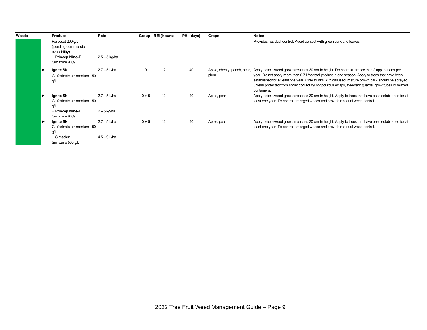| Weeds | Product                                                                                      | Rate                             |          | Group REI (hours) | PHI (days) | Crops                               | <b>Notes</b>                                                                                                                                                                                                                                                                                                                                                                                                         |
|-------|----------------------------------------------------------------------------------------------|----------------------------------|----------|-------------------|------------|-------------------------------------|----------------------------------------------------------------------------------------------------------------------------------------------------------------------------------------------------------------------------------------------------------------------------------------------------------------------------------------------------------------------------------------------------------------------|
|       | Paraquat 200 g/L<br>(pending commercial<br>availability)<br>+ Princep Nine-T<br>Simazine 90% | $2.5 - 5$ kg/ha                  |          |                   |            |                                     | Provides residual control. Avoid contact with green bark and leaves.                                                                                                                                                                                                                                                                                                                                                 |
|       | Ignite SN<br>Glufosinate ammonium 150<br>g/L                                                 | $2.7 - 5$ L/ha                   | 10       | 12                | 40         | Apple, cherry, peach, pear,<br>plum | Apply before weed growth reaches 30 cm in height. Do not make more than 2 applications per<br>year. Do not apply more than 6.7 L/ha total product in one season. Apply to trees that have been<br>established for at least one year. Only trunks with callused, mature brown bark should be sprayed<br>unless protected from spray contact by nonpourous wraps, tree/bark quards, grow tubes or waxed<br>containers. |
|       | Ignite SN<br>Glufosinate ammonium 150<br>g/L<br>+ Princep Nine-T<br>Simazine 90%             | $2.7 - 5$ L/ha<br>$2-5$ kg/ha    | $10 + 5$ | 12                | 40         | Apple, pear                         | Apply before weed growth reaches 30 cm in height. Apply to trees that have been established for at<br>least one year. To control emerged weeds and provide residual weed control.                                                                                                                                                                                                                                    |
|       | Ignite SN<br>Glufosinate ammonium 150<br>g/L<br>+ Simadex<br>Simazine 500 g/L                | $2.7 - 5$ L/ha<br>$4.5 - 9$ L/ha | $10 + 5$ | 12                | 40         | Apple, pear                         | Apply before weed growth reaches 30 cm in height. Apply to trees that have been established for at<br>least one year. To control emerged weeds and provide residual weed control.                                                                                                                                                                                                                                    |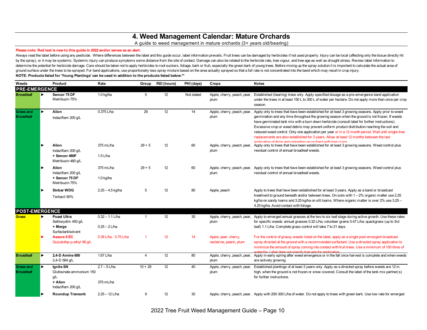## **4. Weed Management Calendar: Mature Orchards**

#### A guide to weed management in mature orchards (3+ years old/bearing)

#### **Please note: Red text is new to this guide in 2022 and/or serves as an alert.**

Always read the label before using any pesticide. Where differences between the label and this guide occur, label information prevails. Fruit trees can be damaged by herbicides if not used properly. Injury can be local (af by the spray), or it may be systemic. Systemic injury can produce symptoms some distance from the site of contact. Damage can also be related to the herbicide rate, tree vigour, and tree age as well as drought stress. Revi determine the potential for herbicide damage. Care should be taken not to apply herbicides to root suckers, foliage, bark or fruit, especially the green bark of young trees. Before mixing up the spray solution it is import ground surface under the trees to be sprayed. For band applications, use proportionally less spray mixture based on the area actually sprayed so that a full rate is not concentrated into the band which may result in crop i **NOTE: Products listed for 'Young Plantings' can be used in addition to the products listed below.\*\***

| Weeds                                |   | Product                                                            | Rate                                            | Group        | <b>REI</b> (hours) | PHI (days) | Crops                                          | <b>Notes</b>                                                                                                                                                                                                                                                                                                                                                                                                                                                                                                                                                                                             |
|--------------------------------------|---|--------------------------------------------------------------------|-------------------------------------------------|--------------|--------------------|------------|------------------------------------------------|----------------------------------------------------------------------------------------------------------------------------------------------------------------------------------------------------------------------------------------------------------------------------------------------------------------------------------------------------------------------------------------------------------------------------------------------------------------------------------------------------------------------------------------------------------------------------------------------------------|
| <b>PRE-EMERGENCE</b>                 |   |                                                                    |                                                 |              |                    |            |                                                |                                                                                                                                                                                                                                                                                                                                                                                                                                                                                                                                                                                                          |
| <b>Broadleaf</b>                     |   | Sencor 75 DF<br>Metribuzin 75%                                     | $1.0$ kg/ha                                     | 5            | 12                 | Not stated | Apple, cherry, peach, pear,<br>plum            | Established (bearing) trees only. Apply specified dosage as a pre-emergence band application<br>under the trees in at least 150 L to 300 L of water per hectare. Do not apply more than once per crop<br>season.                                                                                                                                                                                                                                                                                                                                                                                         |
| <b>Grass and</b><br><b>Broadleaf</b> |   | Alion<br>Indaziflam 200 g/L                                        | 0.375 L/ha                                      | 29           | 12                 | 14         | Apple, cherry, peach, pear,<br>plum            | Apply only to trees that have been established for at least 3 growing seasons. Apply prior to weed<br>germination and any time throughout the growing season when the ground is not frozen. If weeds<br>have germinated tank mix with a burn down herbicide (consult label for further instructions).<br>Excessive crop or weed debris may prevent uniform product distribution reaching the soil and<br>reduced weed control. Only one application per year or in a 12 month period. Wait until single-tree<br>replacements are also established for 3 years. Allow at least 12 months between the last |
|                                      |   | Alion<br>Indaziflam 200 g/L<br>+ Sencor 480F<br>Metribuzin 480 g/L | 375 mL/ha<br>$1.5$ L/ha                         | $29 + 5$     | 12                 | 60         | plum                                           | annlingtion of Alion and replanting an orchard with tree crops<br>Apple, cherry, peach, pear, Apply only to trees that have been established for at least 3 growing seasons. Weed control plus<br>residual control of annual broadleaf weeds.                                                                                                                                                                                                                                                                                                                                                            |
|                                      |   | Alion<br>Indaziflam 200 g/L<br>+ Sencor 75 DF<br>Metribuzin 75%    | $375 \text{ mL/ha}$<br>1.0 kg/ha                | $29 + 5$     | 12                 | 60         | plum                                           | Apple, cherry, peach, pear, Apply only to trees that have been established for at least 3 growing seasons. Weed control plus<br>residual control of annual broadleaf weeds.                                                                                                                                                                                                                                                                                                                                                                                                                              |
|                                      |   | <b>Sinbar WDG</b><br>Terbacil 80%                                  | $2.25 - 4.5$ kg/ha                              | 5            | 12                 | 80         | Apple, peach                                   | Apply to trees that have been established for at least 3 years. Apply as a band or broadcast<br>treatment to ground beneath and/or between trees. On soils with $1-2%$ organic matter use 2.25<br>kg/ha on sandy loams and 3.25 kg/ha on silt loams. Where organic matter is over 2% use 3.25 -<br>4.25 kg/ha. Avoid contact with foliage.                                                                                                                                                                                                                                                               |
| <b>POST-EMERGENCE</b>                |   |                                                                    |                                                 |              |                    |            |                                                |                                                                                                                                                                                                                                                                                                                                                                                                                                                                                                                                                                                                          |
| <b>Grass</b>                         | ▶ | Poast Ultra<br>Sethoxydim 450 g/L<br>+ Merge<br>Surfactant/solvent | $\overline{0.32} - 1.1$ L/ha<br>$0.25 - 2$ L/ha | $\mathbf{1}$ | 12                 | 30         | Apple, cherry, peach, pear,<br>plum            | Apply to emerged annual grasses at the two to six leaf stage during active growth. Use these rates<br>for specific weeds: annual grasses 0.32 L/ha; volunteer grains 0.47 L/ha; guackgrass (up to 3rd<br>leaf) 1.1 L/ha. Complete grass control will take 7 to 21 days.                                                                                                                                                                                                                                                                                                                                  |
|                                      |   | <b>Assure II EC</b><br>Quizalofop-p-ethyl 96 g/L                   | $0.38$ L/ha - $0.75$ L/ha                       |              | 12                 | 14         | Apple, pear, cherry,<br>nectarine, peach, plum | For the control of grassy weeds listed on the label, apply as a single post-emergent broadcast<br>spray directed at the ground with a recommended surfactant. Use a directed spray application to<br>minimize the amount of spray coming into contact with fruit trees. Use a minimum of 100 litres of<br>water/hall abel does not specify tree age for application                                                                                                                                                                                                                                      |
| <b>Broadleaf</b>                     |   | 2,4-D Amine 600<br>2,4-D 564 g/L                                   | 1.67 L/ha                                       | 4            | 12                 | 80         | Apple, cherry, peach, pear,<br>plum            | Apply in early spring after weed emergence or in the fall once harvest is complete and when weeds<br>are actively growing.                                                                                                                                                                                                                                                                                                                                                                                                                                                                               |
| <b>Grass and</b><br><b>Broadleaf</b> |   | Ignite SN<br>Glufosinate ammonium 150<br>g/L<br>+ Alion            | $2.7 - 5$ L/ha<br>375 mL/ha                     | $10 + 29$    | 12                 | 40         | plum                                           | Apple, cherry, peach, pear, Established plantings of at least 3 years only. Apply as a directed spray before weeds are 12 in.<br>high, when the ground is not frozen or snow covered. Consult the label of the tank mix partner(s)<br>for further instructions.                                                                                                                                                                                                                                                                                                                                          |
|                                      |   | Indaziflam 200 g/L                                                 |                                                 |              |                    |            |                                                |                                                                                                                                                                                                                                                                                                                                                                                                                                                                                                                                                                                                          |
|                                      |   | <b>Roundup Transorb</b>                                            | $2.25 - 12$ L/ha                                | 9            | 12                 | 30         |                                                | Apple, cherry, peach, pear, Apply with 200-300 L/ha of water. Do not apply to trees with green bark. Use low rate for emerged                                                                                                                                                                                                                                                                                                                                                                                                                                                                            |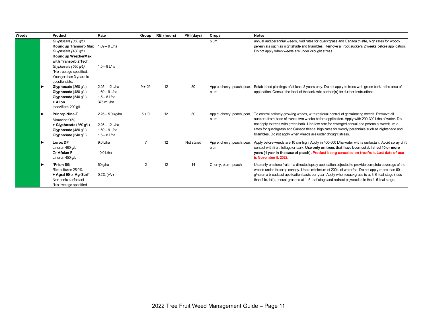| Weeds | Product                                                                                                                          | Rate                                                                        | Group    | <b>REI</b> (hours) | PHI (days) | Crops                               | <b>Notes</b>                                                                                                                                                                                                                                                                                                                                                                                                                                                  |
|-------|----------------------------------------------------------------------------------------------------------------------------------|-----------------------------------------------------------------------------|----------|--------------------|------------|-------------------------------------|---------------------------------------------------------------------------------------------------------------------------------------------------------------------------------------------------------------------------------------------------------------------------------------------------------------------------------------------------------------------------------------------------------------------------------------------------------------|
|       | Glyphosate (360 q/L)<br>Roundup Transorb Max 1.69 - 9 L/ha<br>Glyphosate (480 q/L)<br>Roundup WeatherMax<br>with Transorb 2 Tech |                                                                             |          |                    |            | plum                                | annual and perennial weeds, mid rates for quackgrass and Canada thistle, high rates for woody<br>perennials such as nightshade and brambles. Remove all root suckers 2 weeks before application.<br>Do not apply when weeds are under drought stress.                                                                                                                                                                                                         |
|       | Glyphosate (540 q/L)<br>*No tree age specified.<br>Younger than 3 years is<br>questionable.                                      | $1.5 - 8$ L/ha                                                              |          |                    |            |                                     |                                                                                                                                                                                                                                                                                                                                                                                                                                                               |
|       | Glyphosate (360 g/L)<br>Glyphosate (480 g/L)<br>Glyphosate (540 g/L)<br>+ Alion<br>Indaziflam 200 g/L                            | $2.25 - 12$ L/ha<br>$1.69 - 9$ L/ha<br>$1.5 - 8$ L/ha<br>375 mL/ha          | $9 + 29$ | 12                 | 30         | Apple, cherry, peach, pear,<br>plum | Established plantings of at least 3 years only. Do not apply to trees with green bark in the area of<br>application. Consult the label of the tank mix partner(s) for further instructions.                                                                                                                                                                                                                                                                   |
|       | Princep Nine-T<br>Simazine 90%<br>+ Glyphosate (360 g/L)<br>Glyphosate (480 g/L)<br>Glyphosate (540 g/L)                         | $2.25 - 5.0$ kg/ha<br>$2.25 - 12$ L/ha<br>$1.69 - 9$ L/ha<br>$1.5 - 8$ L/ha | $5 + 9$  | 12                 | 30         | Apple, cherry, peach, pear,<br>plum | To control actively growing weeds, with residual control of germinating weeds. Remove all<br>suckers from base of trunks two weeks before application. Apply with 200-300 L/ha of water. Do<br>not apply to trees with green bark. Use low rate for emerged annual and perennial weeds, mid<br>rates for quackgrass and Canada thistle, high rates for woody perennials such as nightshade and<br>brambles. Do not apply when weeds are under drought stress. |
|       | <b>Lorox DF</b><br>Linuron 480 g/L<br>Or Afolan F<br>Linuron 450 g/L                                                             | 9.0 L/ha<br>10.0 L/ha                                                       |          | 12                 | Not stated | Apple, cherry, peach, pear,<br>plum | Apply before weeds are 10 cm high. Apply in 400-600 L/ha water with a surfactant. Avoid spray drift<br>contact with fruit, foliage or bark. Use only on trees that have been established 10 or more<br>years (1 year in the case of peach). Product being cancelled on tree fruit. Last date of use<br>is November 5, 2022.                                                                                                                                   |
|       | *Prism SG<br>Rimsulfuron 25.0%<br>+ Agral 90 or Ag-Surf<br>Non-ionic surfactant<br>*No tree age specified                        | 60 g/ha<br>$0.2\%$ ( $v/v$ )                                                | 2        | 12                 | 14         | Cherry, plum, peach                 | Use only on stone fruit in a directed spray application adjusted to provide complete coverage of the<br>weeds under the crop canopy. Use a minimum of 200 L of water/ha. Do not apply more than 60<br>g/ha on a broadcast application basis per year. Apply when quackgrass is at 3-6-leaf stage (less<br>than 4 in. tall), annual grasses at 1–6-leaf stage and redroot pigweed is in the 4–6-leaf stage.                                                    |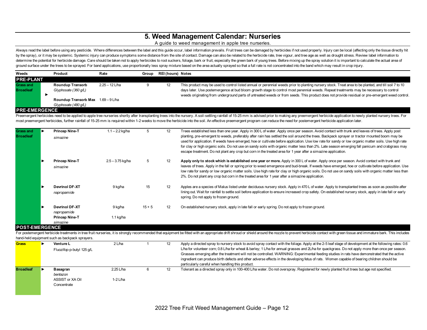## **5. Weed Management Calendar: Nurseries**

#### A guide to weed management in apple tree nurseries.

Always read the label before using any pesticide. Where differences between the label and this guide occur, label information prevails. Fruit trees can be damaged by herbicides if not used properly. Injury can be local (af by the spray), or it may be systemic. Systemic injury can produce symptoms some distance from the site of contact. Damage can also be related to the herbicide rate, tree vigour, and tree age as well as drought stress. Revi determine the potential for herbicide damage. Care should be taken not to apply herbicides to root suckers, foliage, bark or fruit, especially the green bark of young trees. Before mixing up the spray solution it is import ground surface under the trees to be sprayed. For band applications, use proportionally less spray mixture based on the area actually sprayed so that a full rate is not concentrated into the band which may result in crop i

| Weeds                | Product                            | Rate           | Group | <b>REI (hours) Notes</b> |                                                                                                                                                       |
|----------------------|------------------------------------|----------------|-------|--------------------------|-------------------------------------------------------------------------------------------------------------------------------------------------------|
| <b>PRE-PLANT</b>     |                                    |                |       |                          |                                                                                                                                                       |
| <b>Grass and</b>     | <b>Roundup Transorb</b>            | 2.25 – 12 L/ha |       | 12                       | This product may be used to control listed annual or perennial weeds prior to planting nursery stock. Treat area to be planted, and till soil 7 to 10 |
| <b>Broadleaf</b>     | Glyphosate (360 q/L)               |                |       |                          | days later. Use postemergence at bud bloom growth stage to control most perennial weeds. Repeat treatments may be necessary to control                |
|                      |                                    |                |       |                          | weeds originating from underground parts of untreated weeds or from seeds. This product does not provide residual or pre-emergent weed control.       |
|                      | Roundup Transorb Max 1.69 - 9 L/ha |                |       |                          |                                                                                                                                                       |
|                      | Glyphosate (480 q/L)               |                |       |                          |                                                                                                                                                       |
| <b>PRE-EMERGENCE</b> |                                    |                |       |                          |                                                                                                                                                       |

Preemergent herbicides need to be applied to apple tree nurseries shortly after transplanting trees into the nursery. A soil-settling rainfall of 15-25 mm is advised prior to making any preemergent herbicide application to most preemergent herbicides, further rainfall of 15-25 mm is required within 1-2 weeks to move the herbicide into the soil. An effective preemergent program can reduce the need for postemergent herbicide application later.

| simazine                                                      | $1.1 - 2.2$ kg/ha    |                    | 12                | Trees established less than one year. Apply in 300 L of water. Apply once per season. Avoid contact with trunk and leaves of trees. Apply post<br>planting, pre-emergent to weeds, preferably after rain has settled the soil around the trees. Backpack sprayer or tractor mounted boom may be<br>used for application. If weeds have emerged, hoe or cultivate before application. Use low rate for sandy or low organic matter soils. Use high rate<br>for clay or high organic soils. Do not use on sandy soils with organic matter less than 2%. Late season emerging fall panicum and crabgrass may<br>escape treatment. Do not plant any crop but corn in the treated area for 1 year after a simazine application. |
|---------------------------------------------------------------|----------------------|--------------------|-------------------|----------------------------------------------------------------------------------------------------------------------------------------------------------------------------------------------------------------------------------------------------------------------------------------------------------------------------------------------------------------------------------------------------------------------------------------------------------------------------------------------------------------------------------------------------------------------------------------------------------------------------------------------------------------------------------------------------------------------------|
| <b>Princep Nine-T</b><br>simazine                             |                      |                    | 12                | Apply only to stock which is established one year or more. Apply in 300 L of water. Apply once per season. Avoid contact with trunk and<br>leaves of trees. Apply in the fall or spring prior to weed emergence and bud-break. If weeds have emerged, hoe or cultivate before application. Use<br>low rate for sandy or low organic matter soils. Use high rate for clay or high organic soils. Do not use on sandy soils with organic matter less than<br>2%. Do not plant any crop but corn in the treated area for 1 year after a simazine application.                                                                                                                                                                 |
| <b>Devrinol DF-XT</b><br>napropamide                          | 9 kg/ha              | 15                 | 12                | Apples are a species of Malus listed under deciduous nursery stock. Apply in 470 L of water. Apply to transplanted trees as soon as possible after<br>lining out. Wait for rainfall to settle soil before application to ensure increased crop safety. On established nursery stock, apply in late fall or early<br>spring. Do not apply to frozen ground.                                                                                                                                                                                                                                                                                                                                                                 |
| <b>Devrinol DF-XT</b><br>napropamide<br><b>Princep Nine-T</b> | 9 kg/ha<br>1.1 kg/ha | $15 + 5$           | $12 \overline{ }$ | On established nursery stock, apply in late fall or early spring. Do not apply to frozen ground.                                                                                                                                                                                                                                                                                                                                                                                                                                                                                                                                                                                                                           |
| <b>POST-EMERGENCE</b>                                         | simazine             | $2.5 - 3.75$ kg/ha |                   |                                                                                                                                                                                                                                                                                                                                                                                                                                                                                                                                                                                                                                                                                                                            |

For postemergent herbicide treatments in tree fruit nurseries, it is strongly recommended that equipment be fitted with an appropriate drift shroud or shield around the nozzle to prevent herbicide contact with green tissue hand-held equipment such as backpack sprayers.

| <b>Grass</b>     | <b>Venture L</b><br>Fluozifop-p-butyl 125 g/L           | 2 L/ha                  | 12 | Apply a directed spray to nursery stock to avoid spray contact with the foliage. Apply at the 2-5 leaf stage of development at the following rates: 0.6<br>L/ha for volunteer corn; 0.8 L/ha for wheat & barley; 1 L/ha for annual grasses and 2L/ha for quackgrass. Do not apply more than once per season.<br>Grasses emerging after the treatment will not be controlled. WARNING: Experimental feeding studies in rats have demonstrated that the active<br>ingredient can produce birth defects and other adverse effects in the developing fetus of rats. Women capable of bearing children should be<br>particularly careful when handling this product. |
|------------------|---------------------------------------------------------|-------------------------|----|-----------------------------------------------------------------------------------------------------------------------------------------------------------------------------------------------------------------------------------------------------------------------------------------------------------------------------------------------------------------------------------------------------------------------------------------------------------------------------------------------------------------------------------------------------------------------------------------------------------------------------------------------------------------|
| <b>Broadleaf</b> | Basagran<br>bentazon<br>ASSIST or XA Oil<br>Concentrate | $2.25$ L/ha<br>1-2 L/ha | 12 | Tolerant as a directed spray only in 100-400 L/ha water. Do not overspray. Registered for newly planted fruit trees but age not specified.                                                                                                                                                                                                                                                                                                                                                                                                                                                                                                                      |